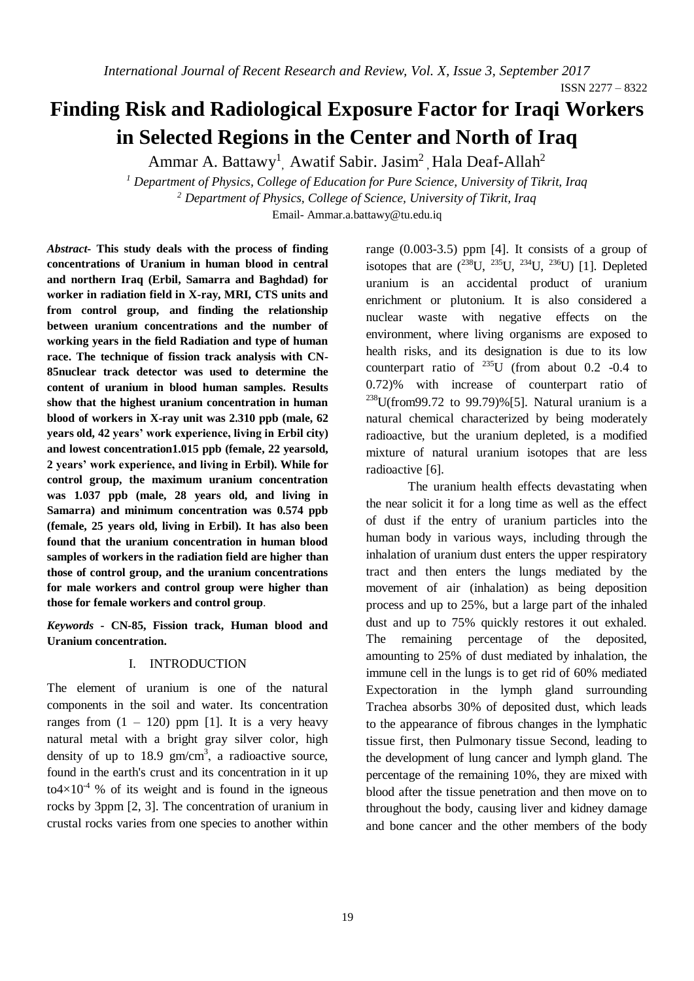ISSN 2277 – 8322

# **Finding Risk and Radiological Exposure Factor for Iraqi Workers in Selected Regions in the Center and North of Iraq**

Ammar A. Battawy<sup>1</sup>, Awatif Sabir. Jasim<sup>2</sup>, Hala Deaf-Allah<sup>2</sup>

*<sup>1</sup> Department of Physics, College of Education for Pure Science, University of Tikrit, Iraq <sup>2</sup> Department of Physics, College of Science, University of Tikrit, Iraq* Email- [Ammar.a.battawy@tu.edu.iq](mailto:Ammar.a.battawy@tu.edu.iq)

*Abstract***- This study deals with the process of finding concentrations of Uranium in human blood in central and northern Iraq (Erbil, Samarra and Baghdad) for worker in radiation field in X-ray, MRI, CTS units and from control group, and finding the relationship between uranium concentrations and the number of working years in the field Radiation and type of human race. The technique of fission track analysis with CN-85nuclear track detector was used to determine the content of uranium in blood human samples. Results show that the highest uranium concentration in human blood of workers in X-ray unit was 2.310 ppb (male, 62 years old, 42 years' work experience, living in Erbil city) and lowest concentration1.015 ppb (female, 22 yearsold, 2 years' work experience, and living in Erbil). While for control group, the maximum uranium concentration was 1.037 ppb (male, 28 years old, and living in Samarra) and minimum concentration was 0.574 ppb (female, 25 years old, living in Erbil). It has also been found that the uranium concentration in human blood samples of workers in the radiation field are higher than those of control group, and the uranium concentrations for male workers and control group were higher than those for female workers and control group**.

*Keywords* **- CN-85, Fission track, Human blood and Uranium concentration.**

### I. INTRODUCTION

The element of uranium is one of the natural components in the soil and water. Its concentration ranges from  $(1 - 120)$  ppm [1]. It is a very heavy natural metal with a bright gray silver color, high density of up to 18.9  $\text{gm/cm}^3$ , a radioactive source, found in the earth's crust and its concentration in it up  $\text{to}4\times10^{4}$  % of its weight and is found in the igneous rocks by 3ppm [2, 3]. The concentration of uranium in crustal rocks varies from one species to another within

range (0.003-3.5) ppm [4]. It consists of a group of isotopes that are  $(^{238}U, ^{235}U, ^{234}U, ^{236}U)$  [1]. Depleted uranium is an accidental product of uranium enrichment or plutonium. It is also considered a nuclear waste with negative effects on the environment, where living organisms are exposed to health risks, and its designation is due to its low counterpart ratio of  $^{235}U$  (from about 0.2 -0.4 to 0.72)% with increase of counterpart ratio of  $238$ U(from99.72 to 99.79)%[5]. Natural uranium is a natural chemical characterized by being moderately radioactive, but the uranium depleted, is a modified mixture of natural uranium isotopes that are less radioactive [6].

The uranium health effects devastating when the near solicit it for a long time as well as the effect of dust if the entry of uranium particles into the human body in various ways, including through the inhalation of uranium dust enters the upper respiratory tract and then enters the lungs mediated by the movement of air (inhalation) as being deposition process and up to 25%, but a large part of the inhaled dust and up to 75% quickly restores it out exhaled. The remaining percentage of the deposited, amounting to 25% of dust mediated by inhalation, the immune cell in the lungs is to get rid of 60% mediated Expectoration in the lymph gland surrounding Trachea absorbs 30% of deposited dust, which leads to the appearance of fibrous changes in the lymphatic tissue first, then Pulmonary tissue Second, leading to the development of lung cancer and lymph gland. The percentage of the remaining 10%, they are mixed with blood after the tissue penetration and then move on to throughout the body, causing liver and kidney damage and bone cancer and the other members of the body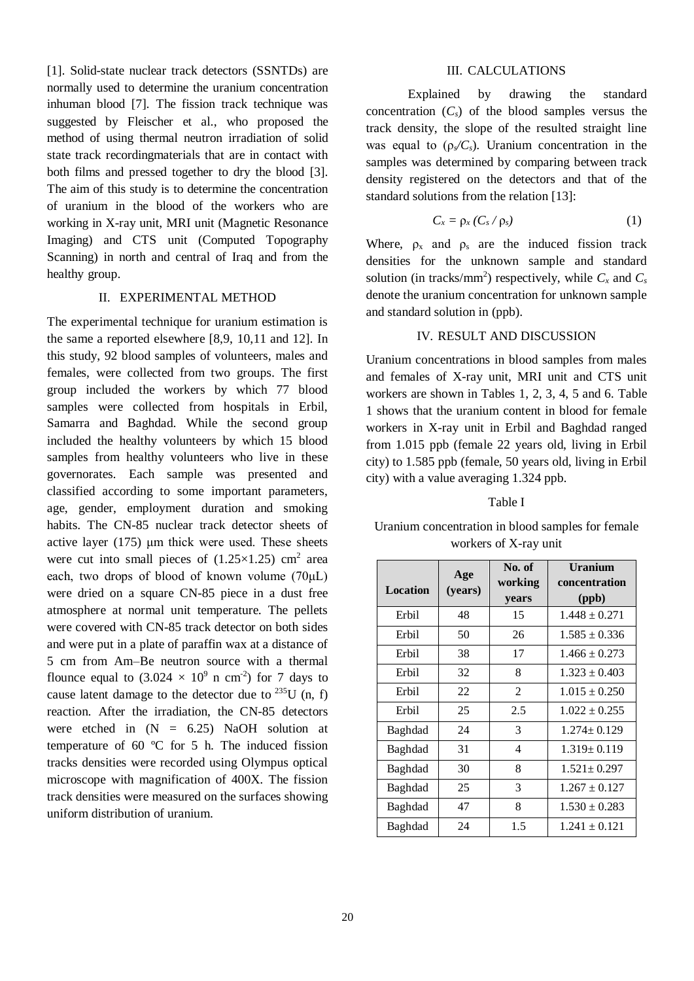[1]. Solid-state nuclear track detectors (SSNTDs) are normally used to determine the uranium concentration inhuman blood [7]. The fission track technique was suggested by Fleischer et al., who proposed the method of using thermal neutron irradiation of solid state track recordingmaterials that are in contact with both films and pressed together to dry the blood [3]. The aim of this study is to determine the concentration of uranium in the blood of the workers who are working in X-ray unit, MRI unit (Magnetic Resonance Imaging) and CTS unit (Computed Topography Scanning) in north and central of Iraq and from the healthy group.

#### II. EXPERIMENTAL METHOD

The experimental technique for uranium estimation is the same a reported elsewhere [8,9, 10,11 and 12]. In this study, 92 blood samples of volunteers, males and females, were collected from two groups. The first group included the workers by which 77 blood samples were collected from hospitals in Erbil, Samarra and Baghdad. While the second group included the healthy volunteers by which 15 blood samples from healthy volunteers who live in these governorates. Each sample was presented and classified according to some important parameters, age, gender, employment duration and smoking habits. The CN-85 nuclear track detector sheets of active layer (175) μm thick were used. These sheets were cut into small pieces of  $(1.25 \times 1.25)$  cm<sup>2</sup> area each, two drops of blood of known volume (70μL) were dried on a square CN-85 piece in a dust free atmosphere at normal unit temperature. The pellets were covered with CN-85 track detector on both sides and were put in a plate of paraffin wax at a distance of 5 cm from Am–Be neutron source with a thermal flounce equal to  $(3.024 \times 10^9 \text{ n cm}^2)$  for 7 days to cause latent damage to the detector due to  $^{235}$ U (n, f) reaction. After the irradiation, the CN-85 detectors were etched in  $(N = 6.25)$  NaOH solution at temperature of 60 ºC for 5 h. The induced fission tracks densities were recorded using Olympus optical microscope with magnification of 400X. The fission track densities were measured on the surfaces showing uniform distribution of uranium.

# III. CALCULATIONS

Explained by drawing the standard concentration  $(C_s)$  of the blood samples versus the track density, the slope of the resulted straight line was equal to  $(\rho_s/C_s)$ . Uranium concentration in the samples was determined by comparing between track density registered on the detectors and that of the standard solutions from the relation [13]:

$$
C_x = \rho_x \left( C_s / \rho_s \right) \tag{1}
$$

Where,  $\rho_x$  and  $\rho_s$  are the induced fission track densities for the unknown sample and standard solution (in tracks/mm<sup>2</sup>) respectively, while  $C_x$  and  $C_s$ denote the uranium concentration for unknown sample and standard solution in (ppb).

# IV. RESULT AND DISCUSSION

Uranium concentrations in blood samples from males and females of X-ray unit, MRI unit and CTS unit workers are shown in Tables 1, 2, 3, 4, 5 and 6. Table 1 shows that the uranium content in blood for female workers in X-ray unit in Erbil and Baghdad ranged from 1.015 ppb (female 22 years old, living in Erbil city) to 1.585 ppb (female, 50 years old, living in Erbil city) with a value averaging 1.324 ppb.

# Table I

Uranium concentration in blood samples for female workers of X-ray unit

| <b>Location</b> | Age<br>(years) | No. of<br>working<br>years | <b>Uranium</b><br>concentration<br>(ppb) |
|-----------------|----------------|----------------------------|------------------------------------------|
| Erbil           | 48             | 15                         | $1.448 \pm 0.271$                        |
| Erbil           | 50             | 26                         | $1.585 \pm 0.336$                        |
| Erbil           | 38             | 17                         | $1.466 \pm 0.273$                        |
| Erbil           | 32             | 8                          | $1.323 \pm 0.403$                        |
| Erbil           | 22             | 2                          | $1.015 \pm 0.250$                        |
| Erbil           | 25             | 2.5                        | $1.022 \pm 0.255$                        |
| Baghdad         | 24             | 3                          | $1.274 \pm 0.129$                        |
| Baghdad         | 31             | 4                          | $1.319 \pm 0.119$                        |
| Baghdad         | 30             | 8                          | $1.521 \pm 0.297$                        |
| Baghdad         | 25             | 3                          | $1.267 \pm 0.127$                        |
| Baghdad         | 47             | 8                          | $1.530 \pm 0.283$                        |
| Baghdad         | 24             | 1.5                        | $1.241 \pm 0.121$                        |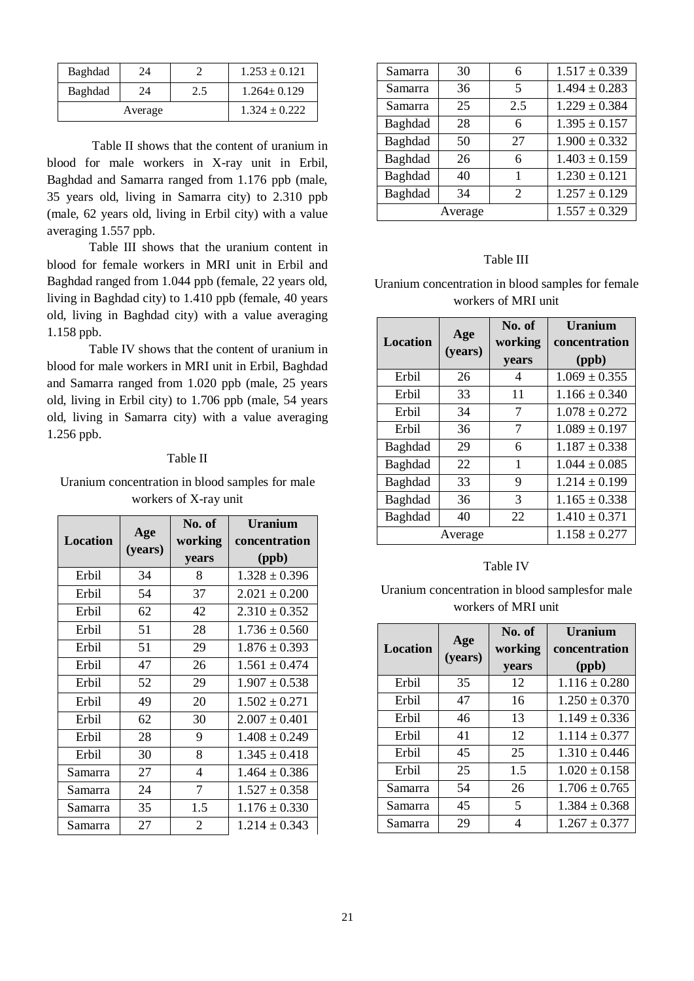| Baghdad | 24 |     | $1.253 \pm 0.121$ |
|---------|----|-----|-------------------|
| Baghdad | 24 | 2.5 | $1.264 \pm 0.129$ |
| Average |    |     | $1.324 \pm 0.222$ |

Table II shows that the content of uranium in blood for male workers in X-ray unit in Erbil, Baghdad and Samarra ranged from 1.176 ppb (male, 35 years old, living in Samarra city) to 2.310 ppb (male, 62 years old, living in Erbil city) with a value averaging 1.557 ppb.

Table III shows that the uranium content in blood for female workers in MRI unit in Erbil and Baghdad ranged from 1.044 ppb (female, 22 years old, living in Baghdad city) to 1.410 ppb (female, 40 years old, living in Baghdad city) with a value averaging 1.158 ppb.

Table IV shows that the content of uranium in blood for male workers in MRI unit in Erbil, Baghdad and Samarra ranged from 1.020 ppb (male, 25 years old, living in Erbil city) to 1.706 ppb (male, 54 years old, living in Samarra city) with a value averaging 1.256 ppb.

## Table II

Uranium concentration in blood samples for male workers of X-ray unit

| <b>Location</b> | Age     | No. of<br>working | Uranium<br>concentration |
|-----------------|---------|-------------------|--------------------------|
|                 | (years) | years             | (ppb)                    |
| Erbil           | 34      | 8                 | $1.328 \pm 0.396$        |
| Erbil           | 54      | 37                | $2.021 \pm 0.200$        |
| Erbil           | 62      | 42                | $2.310 \pm 0.352$        |
| Erbil           | 51      | 28                | $1.736 \pm 0.560$        |
| Erbil           | 51      | 29                | $1.876 \pm 0.393$        |
| Erbil           | 47      | 26                | $1.561 \pm 0.474$        |
| Erbil           | 52      | 29                | $1.907 \pm 0.538$        |
| Erbil           | 49      | 20                | $1.502 \pm 0.271$        |
| Erbil           | 62      | 30                | $2.007 \pm 0.401$        |
| Erbil           | 28      | 9                 | $1.408 \pm 0.249$        |
| Erbil           | 30      | 8                 | $1.345 \pm 0.418$        |
| Samarra         | 27      | 4                 | $1.464 \pm 0.386$        |
| Samarra         | 24      | $\overline{7}$    | $1.527 \pm 0.358$        |
| Samarra         | 35      | 1.5               | $1.176 \pm 0.330$        |
| Samarra         | 27      | 2                 | $1.214 \pm 0.343$        |

| Samarra | 30      | 6                        | $1.517 \pm 0.339$ |
|---------|---------|--------------------------|-------------------|
| Samarra | 36      | $\overline{\phantom{1}}$ | $1.494 \pm 0.283$ |
| Samarra | 25      | 2.5                      | $1.229 \pm 0.384$ |
| Baghdad | 28      | 6                        | $1.395 \pm 0.157$ |
| Baghdad | 50      | 27                       | $1.900 \pm 0.332$ |
| Baghdad | 26      | 6                        | $1.403 \pm 0.159$ |
| Baghdad | 40      | 1                        | $1.230 \pm 0.121$ |
| Baghdad | 34      | 2                        | $1.257 \pm 0.129$ |
|         | Average |                          |                   |

# Table III

Uranium concentration in blood samples for female workers of MRI unit

| Location | Age<br>(years) | No. of<br>working<br>years | Uranium<br>concentration<br>(ppb) |
|----------|----------------|----------------------------|-----------------------------------|
| Erbil    | 26             | 4                          | $1.069 \pm 0.355$                 |
| Erbil    | 33             | 11                         | $1.166 + 0.340$                   |
| Erbil    | 34             | 7                          | $1.078 \pm 0.272$                 |
| Erbil    | 36             | 7                          | $1.089 \pm 0.197$                 |
| Baghdad  | 29             | 6                          | $1.187 \pm 0.338$                 |
| Baghdad  | 22             | 1                          | $1.044 \pm 0.085$                 |
| Baghdad  | 33             | 9                          | $1.214 \pm 0.199$                 |
| Baghdad  | 36             | 3                          | $1.165 \pm 0.338$                 |
| Baghdad  | 40             | 22                         | $1.410 \pm 0.371$                 |
|          | Average        |                            | $1.158 \pm 0.277$                 |

# Table IV

Uranium concentration in blood samplesfor male workers of MRI unit

|                 | Age     | No. of  | <b>Uranium</b>    |
|-----------------|---------|---------|-------------------|
| <b>Location</b> | (years) | working | concentration     |
|                 |         | years   | (ppb)             |
| Erbil           | 35      | 12      | $1.116 \pm 0.280$ |
| Erbil           | 47      | 16      | $1.250 \pm 0.370$ |
| Erbil           | 46      | 13      | $1.149 \pm 0.336$ |
| Erbil           | 41      | 12      | $1.114 + 0.377$   |
| Erbil           | 45      | 25      | $1.310 \pm 0.446$ |
| Erbil           | 25      | 1.5     | $1.020 \pm 0.158$ |
| Samarra         | 54      | 26      | $1.706 \pm 0.765$ |
| Samarra         | 45      | 5       | $1.384 + 0.368$   |
| Samarra         | 29      |         | $1.267 \pm 0.377$ |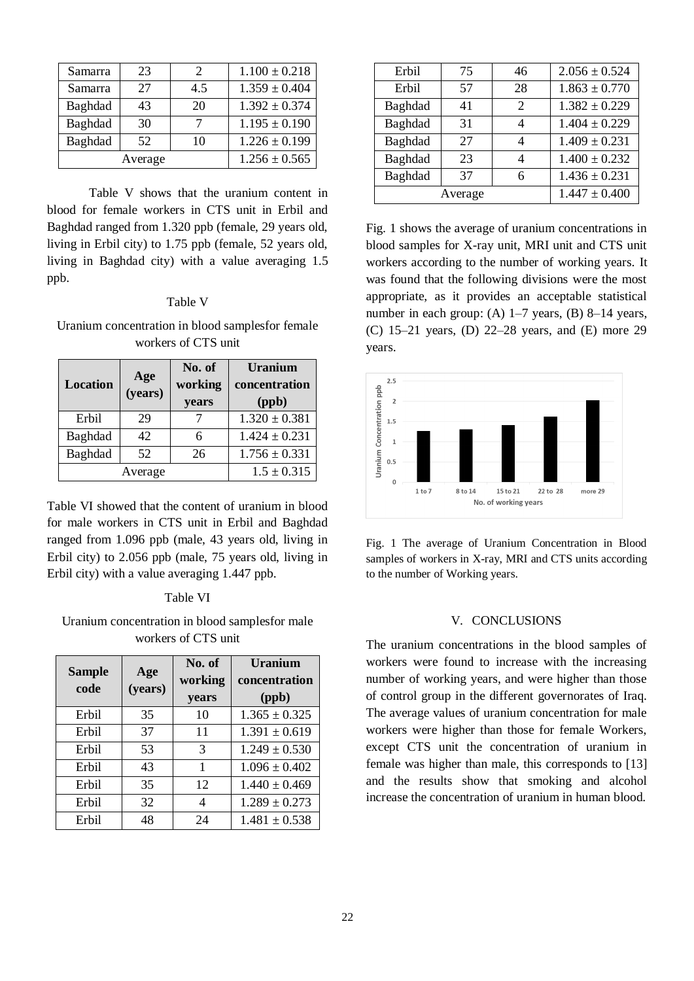| Samarra | 23 | $\mathcal{D}$ | $1.100 \pm 0.218$ |
|---------|----|---------------|-------------------|
| Samarra | 27 | 4.5           | $1.359 \pm 0.404$ |
| Baghdad | 43 | 20            | $1.392 \pm 0.374$ |
| Baghdad | 30 |               | $1.195 \pm 0.190$ |
| Baghdad | 52 | 10            | $1.226 \pm 0.199$ |
| Average |    |               | $1.256 \pm 0.565$ |

Table V shows that the uranium content in blood for female workers in CTS unit in Erbil and Baghdad ranged from 1.320 ppb (female, 29 years old, living in Erbil city) to 1.75 ppb (female, 52 years old, living in Baghdad city) with a value averaging 1.5 ppb.

#### Table V

Uranium concentration in blood samplesfor female workers of CTS unit

| <b>Location</b> | Age<br>(years) | No. of<br>working<br><b>years</b> | <b>Uranium</b><br>concentration<br>(ppb) |
|-----------------|----------------|-----------------------------------|------------------------------------------|
| Erbil           | 29             |                                   | $1.320 \pm 0.381$                        |
| Baghdad         | 42             | 6                                 | $1.424 \pm 0.231$                        |
| Baghdad         | 52             | 26                                | $1.756 \pm 0.331$                        |
| Average         |                |                                   | $1.5 \pm 0.315$                          |

Table VI showed that the content of uranium in blood for male workers in CTS unit in Erbil and Baghdad ranged from 1.096 ppb (male, 43 years old, living in Erbil city) to 2.056 ppb (male, 75 years old, living in Erbil city) with a value averaging 1.447 ppb.

### Table VI

Uranium concentration in blood samplesfor male workers of CTS unit

| <b>Sample</b><br>code | Age<br>(years) | No. of<br>working<br><b>years</b> | Uranium<br>concentration<br>(ppb) |
|-----------------------|----------------|-----------------------------------|-----------------------------------|
| Erbil                 | 35             | 10                                | $1.365 \pm 0.325$                 |
| Erbil                 | 37             | 11                                | $1.391 \pm 0.619$                 |
| Erbil                 | 53             | 3                                 | $1.249 \pm 0.530$                 |
| Erbil                 | 43             | 1                                 | $1.096 \pm 0.402$                 |
| Erbil                 | 35             | 12                                | $1.440 \pm 0.469$                 |
| Erbil                 | 32             | 4                                 | $1.289 \pm 0.273$                 |
| Erbil                 | 48             | 24                                | $1.481 \pm 0.538$                 |

| Erbil   | 75 | 46 | $2.056 \pm 0.524$ |
|---------|----|----|-------------------|
| Erbil   | 57 | 28 | $1.863 \pm 0.770$ |
| Baghdad | 41 | 2  | $1.382 \pm 0.229$ |
| Baghdad | 31 |    | $1.404 \pm 0.229$ |
| Baghdad | 27 | 4  | $1.409 \pm 0.231$ |
| Baghdad | 23 | 4  | $1.400 \pm 0.232$ |
| Baghdad | 37 | 6  | $1.436 \pm 0.231$ |
| Average |    |    | $1.447 \pm 0.400$ |

Fig. 1 shows the average of uranium concentrations in blood samples for X-ray unit, MRI unit and CTS unit workers according to the number of working years. It was found that the following divisions were the most appropriate, as it provides an acceptable statistical number in each group: (A) 1–7 years, (B) 8–14 years, (C) 15–21 years, (D) 22–28 years, and (E) more 29 years.



Fig. 1 The average of Uranium Concentration in Blood samples of workers in X-ray, MRI and CTS units according to the number of Working years.

### V. CONCLUSIONS

The uranium concentrations in the blood samples of workers were found to increase with the increasing number of working years, and were higher than those of control group in the different governorates of Iraq. The average values of uranium concentration for male workers were higher than those for female Workers, except CTS unit the concentration of uranium in female was higher than male, this corresponds to [13] and the results show that smoking and alcohol increase the concentration of uranium in human blood.